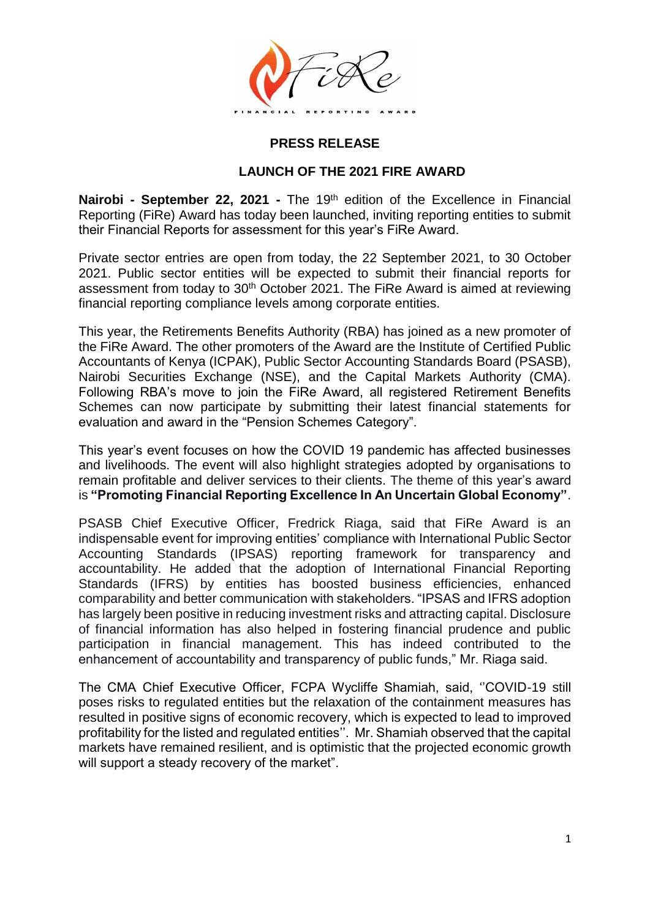

## **PRESS RELEASE**

### **LAUNCH OF THE 2021 FIRE AWARD**

**Nairobi - September 22, 2021 -** The 19th edition of the Excellence in Financial Reporting (FiRe) Award has today been launched, inviting reporting entities to submit their Financial Reports for assessment for this year's FiRe Award.

Private sector entries are open from today, the 22 September 2021, to 30 October 2021. Public sector entities will be expected to submit their financial reports for assessment from today to 30<sup>th</sup> October 2021. The FiRe Award is aimed at reviewing financial reporting compliance levels among corporate entities.

This year, the Retirements Benefits Authority (RBA) has joined as a new promoter of the FiRe Award. The other promoters of the Award are the Institute of Certified Public Accountants of Kenya (ICPAK), Public Sector Accounting Standards Board (PSASB), Nairobi Securities Exchange (NSE), and the Capital Markets Authority (CMA). Following RBA's move to join the FiRe Award, all registered Retirement Benefits Schemes can now participate by submitting their latest financial statements for evaluation and award in the "Pension Schemes Category".

This year's event focuses on how the COVID 19 pandemic has affected businesses and livelihoods. The event will also highlight strategies adopted by organisations to remain profitable and deliver services to their clients. The theme of this year's award is **"Promoting Financial Reporting Excellence In An Uncertain Global Economy"**.

PSASB Chief Executive Officer, Fredrick Riaga, said that FiRe Award is an indispensable event for improving entities' compliance with International Public Sector Accounting Standards (IPSAS) reporting framework for transparency and accountability. He added that the adoption of International Financial Reporting Standards (IFRS) by entities has boosted business efficiencies, enhanced comparability and better communication with stakeholders. "IPSAS and IFRS adoption has largely been positive in reducing investment risks and attracting capital. Disclosure of financial information has also helped in fostering financial prudence and public participation in financial management. This has indeed contributed to the enhancement of accountability and transparency of public funds," Mr. Riaga said.

The CMA Chief Executive Officer, FCPA Wycliffe Shamiah, said, ''COVID-19 still poses risks to regulated entities but the relaxation of the containment measures has resulted in positive signs of economic recovery, which is expected to lead to improved profitability for the listed and regulated entities''. Mr. Shamiah observed that the capital markets have remained resilient, and is optimistic that the projected economic growth will support a steady recovery of the market".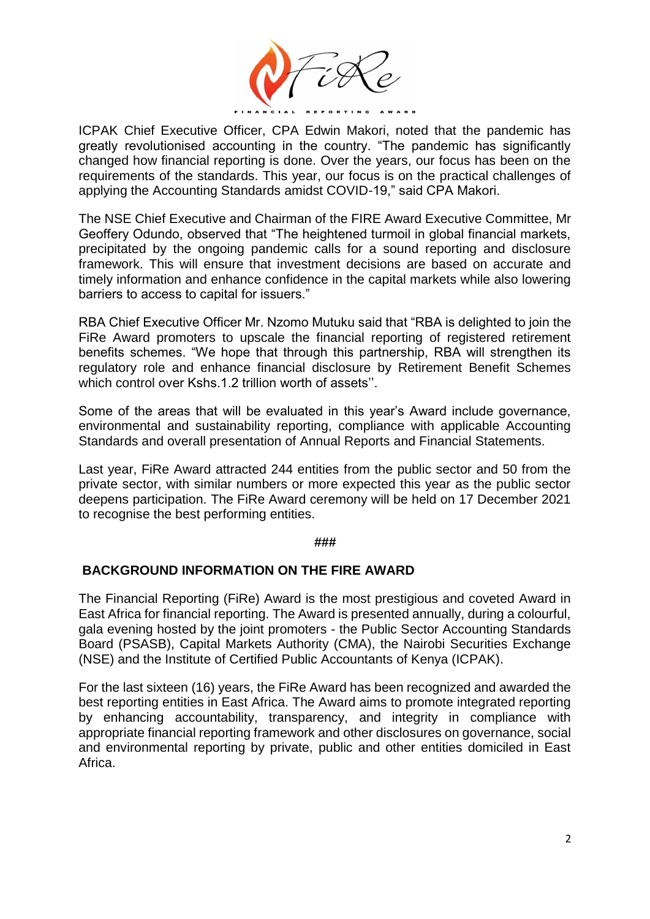

ICPAK Chief Executive Officer, CPA Edwin Makori, noted that the pandemic has greatly revolutionised accounting in the country. "The pandemic has significantly changed how financial reporting is done. Over the years, our focus has been on the requirements of the standards. This year, our focus is on the practical challenges of applying the Accounting Standards amidst COVID-19," said CPA Makori.

The NSE Chief Executive and Chairman of the FIRE Award Executive Committee, Mr Geoffery Odundo, observed that "The heightened turmoil in global financial markets, precipitated by the ongoing pandemic calls for a sound reporting and disclosure framework. This will ensure that investment decisions are based on accurate and timely information and enhance confidence in the capital markets while also lowering barriers to access to capital for issuers."

RBA Chief Executive Officer Mr. Nzomo Mutuku said that "RBA is delighted to join the FiRe Award promoters to upscale the financial reporting of registered retirement benefits schemes. "We hope that through this partnership, RBA will strengthen its regulatory role and enhance financial disclosure by Retirement Benefit Schemes which control over Kshs.1.2 trillion worth of assets''.

Some of the areas that will be evaluated in this year's Award include governance, environmental and sustainability reporting, compliance with applicable Accounting Standards and overall presentation of Annual Reports and Financial Statements.

Last year, FiRe Award attracted 244 entities from the public sector and 50 from the private sector, with similar numbers or more expected this year as the public sector deepens participation. The FiRe Award ceremony will be held on 17 December 2021 to recognise the best performing entities.

#### **###**

## **BACKGROUND INFORMATION ON THE FIRE AWARD**

The Financial Reporting (FiRe) Award is the most prestigious and coveted Award in East Africa for financial reporting. The Award is presented annually, during a colourful, gala evening hosted by the joint promoters - the Public Sector Accounting Standards Board (PSASB), Capital Markets Authority (CMA), the Nairobi Securities Exchange (NSE) and the Institute of Certified Public Accountants of Kenya (ICPAK).

For the last sixteen (16) years, the FiRe Award has been recognized and awarded the best reporting entities in East Africa. The Award aims to promote integrated reporting by enhancing accountability, transparency, and integrity in compliance with appropriate financial reporting framework and other disclosures on governance, social and environmental reporting by private, public and other entities domiciled in East Africa.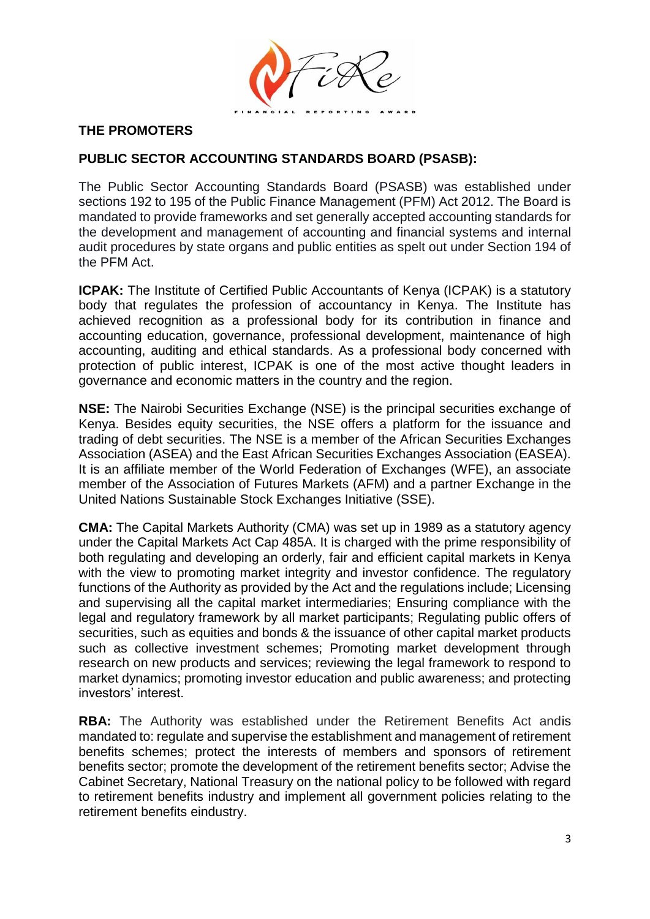

# **THE PROMOTERS**

# **PUBLIC SECTOR ACCOUNTING STANDARDS BOARD (PSASB):**

The Public Sector Accounting Standards Board (PSASB) was established under sections 192 to 195 of the Public Finance Management (PFM) Act 2012. The Board is mandated to provide frameworks and set generally accepted accounting standards for the development and management of accounting and financial systems and internal audit procedures by state organs and public entities as spelt out under Section 194 of the PFM Act.

**ICPAK:** The Institute of Certified Public Accountants of Kenya (ICPAK) is a statutory body that regulates the profession of accountancy in Kenya. The Institute has achieved recognition as a professional body for its contribution in finance and accounting education, governance, professional development, maintenance of high accounting, auditing and ethical standards. As a professional body concerned with protection of public interest, ICPAK is one of the most active thought leaders in governance and economic matters in the country and the region.

**NSE:** The Nairobi Securities Exchange (NSE) is the principal securities exchange of Kenya. Besides equity securities, the NSE offers a platform for the issuance and trading of debt securities. The NSE is a member of the African Securities Exchanges Association (ASEA) and the East African Securities Exchanges Association (EASEA). It is an affiliate member of the World Federation of Exchanges (WFE), an associate member of the Association of Futures Markets (AFM) and a partner Exchange in the United Nations Sustainable Stock Exchanges Initiative (SSE).

**CMA:** The Capital Markets Authority (CMA) was set up in 1989 as a statutory agency under the Capital Markets Act Cap 485A. It is charged with the prime responsibility of both regulating and developing an orderly, fair and efficient capital markets in Kenya with the view to promoting market integrity and investor confidence. The regulatory functions of the Authority as provided by the Act and the regulations include; Licensing and supervising all the capital market intermediaries; Ensuring compliance with the legal and regulatory framework by all market participants; Regulating public offers of securities, such as equities and bonds & the issuance of other capital market products such as collective investment schemes; Promoting market development through research on new products and services; reviewing the legal framework to respond to market dynamics; promoting investor education and public awareness; and protecting investors' interest.

**RBA:** The Authority was established under the Retirement Benefits Act andis mandated to: regulate and supervise the establishment and management of retirement benefits schemes; protect the interests of members and sponsors of retirement benefits sector; promote the development of the retirement benefits sector; Advise the Cabinet Secretary, National Treasury on the national policy to be followed with regard to retirement benefits industry and implement all government policies relating to the retirement benefits eindustry.